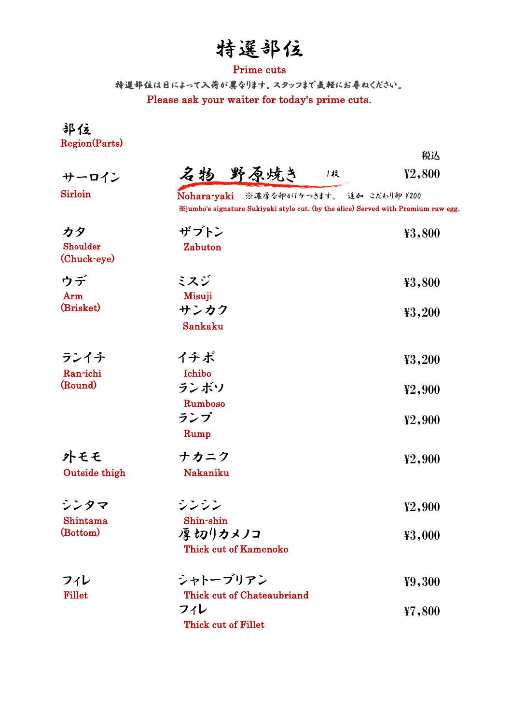# 特選部位

### Prime cuts

Please ask your waiter for today's prime cuts. 特選部位は日によって入荷が異なります。スタッフまで気軽にお尋ねください。

部位 Region(Parts)

|                               |                                                                                                                               | 税込     |  |  |
|-------------------------------|-------------------------------------------------------------------------------------------------------------------------------|--------|--|--|
| サーロイン                         | 名物 野原焼き<br>1枚                                                                                                                 | ¥2,800 |  |  |
| <b>Sirloin</b>                | Nohara-yaki ※濃厚な卵が1ケつきます。 追か こだわり卵 ¥200<br>%jumbo's signature Sukiyaki style cut. (by the slice) Served with Premium raw egg. |        |  |  |
| カタ<br>Shoulder<br>(Chuck-eye) | ザブトン<br>Zabuton                                                                                                               | ¥3,800 |  |  |
| ウデ<br>Arm                     | ミスジ<br>Misuji                                                                                                                 | ¥3,800 |  |  |
| (Brisket)                     | サンカク<br>Sankaku                                                                                                               | ¥3,200 |  |  |
| ランイチ<br>Ran-ichi              | イチボ<br>Ichibo                                                                                                                 | ¥3,200 |  |  |
| (Round)                       | ランボソ<br>Rumboso                                                                                                               | ¥2,900 |  |  |
|                               | ランプ<br>Rump                                                                                                                   | ¥2,900 |  |  |
| 外モモ<br>Outside thigh          | ナカニク<br>Nakaniku                                                                                                              | ¥2,900 |  |  |
| シンタマ<br>Shintama              | シンシン<br>Shin-shin                                                                                                             | ¥2,900 |  |  |
| (Bottom)                      | 厚切りカメノコ<br><b>Thick cut of Kamenoko</b>                                                                                       | ¥3,000 |  |  |
| フィレ<br><b>Fillet</b>          | シャトーブリアン<br>Thick cut of Chateaubriand                                                                                        | ¥9,300 |  |  |
|                               | フィレ<br>Thick cut of Fillet                                                                                                    | ¥7,800 |  |  |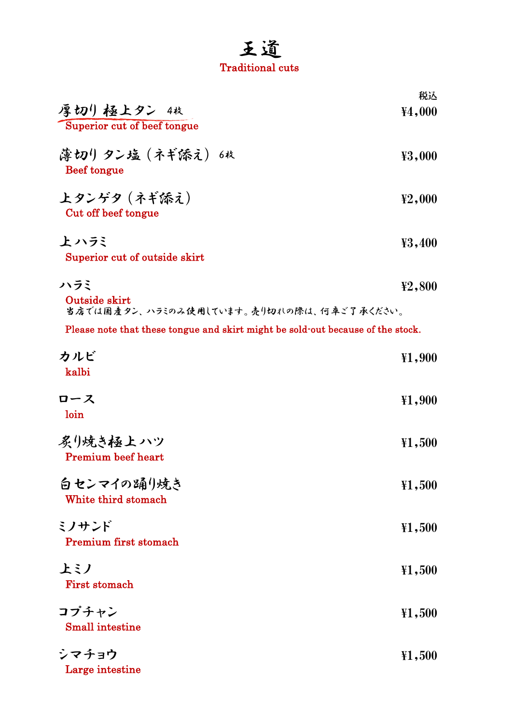## 王道 Traditional cuts

|                                                                                 | 税込                                                             |
|---------------------------------------------------------------------------------|----------------------------------------------------------------|
| 厚切り 極上タン 4枚                                                                     | ¥4,000                                                         |
| Superior cut of beef tongue                                                     |                                                                |
| 薄切りタン塩(ネギ添え)6枚                                                                  | ¥3,000                                                         |
| Beef tongue                                                                     |                                                                |
| 上タンゲタ (ネギ添え)                                                                    | $\textcolor{red}{\mathbf{\ddot{\textbf{Y}}2,000}}$             |
| Cut off beef tongue                                                             |                                                                |
| 上 ハラミ                                                                           | ¥3,400                                                         |
| Superior cut of outside skirt                                                   |                                                                |
| ハラミ                                                                             |                                                                |
| Outside skirt                                                                   | ¥2,800                                                         |
| 当店では国産タン、ハラミのみ使用しています。売り切れの際は、何車ご了承ください。                                        |                                                                |
| Please note that these tongue and skirt might be sold-out because of the stock. |                                                                |
| カルビ                                                                             | ¥1,900                                                         |
| kalbi                                                                           |                                                                |
| ロース                                                                             | $\textcolor{red}{\mathbf{\ddot{\textbf{Y}}1,900}}$             |
| loin                                                                            |                                                                |
| 炙り焼き極上 ハツ                                                                       | $\textcolor{red}{\mathbf{\ddot{\textbf{Y}}1,500}}$             |
| <b>Premium</b> beef heart                                                       |                                                                |
| 白センマイの踊り焼き                                                                      | $*1,500$                                                       |
| White third stomach                                                             |                                                                |
| ミノサンド                                                                           | $*1,500$                                                       |
| <b>Premium first stomach</b>                                                    |                                                                |
| 上ミノ                                                                             | ¥1,500                                                         |
| <b>First stomach</b>                                                            |                                                                |
| コプチャン                                                                           | $\textcolor{red}{\textbf{\texttt{Y1}}}, \textcolor{blue}{500}$ |
| <b>Small</b> intestine                                                          |                                                                |
| シマチョウ                                                                           | $*1,500$                                                       |
| Large intestine                                                                 |                                                                |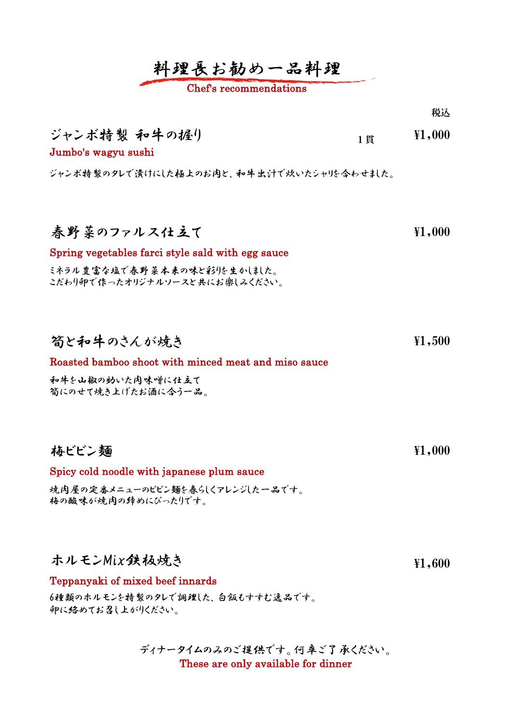## 料理長お勧め一品料理

#### Chef's recommendations

ジャンボ特製 和牛の握り Jumbo's wagyu sushi ジャンボ特製のタレで漬けにした極上のお肉と、和牛出汁で炊いたシャリを合わせました。 春野菜のファルス仕立て Spring vegetables farci style sald with egg sauce 筍と和牛のさんが焼き Roasted bamboo shoot with minced meat and miso sauce 梅ビビン麺 1貫  $\frac{1}{1}$   $\frac{1}{1}$ ,000 ¥1,500 ミネラル豊富な塩で春野菜本来の味と彩りを生かしました。 こだわり卵で作ったオリジナルソースと共にお楽しみください。 ¥1,000 ¥1,000 和牛を山椒の効いた肉味噌に仕立て 筍にのせて焼き上げたお酒に合う一品。

Spicy cold noodle with japanese plum sauce

焼肉屋の定番メニューのビビン麺を春らしくアレンジした一品です。 梅の酸味が焼肉の締めにぴったりです。

ホルモンMix鉄板焼き

¥1,600

税込

#### Teppanyaki of mixed beef innards

6種類のホルモンを特製のタレで調理した、白飯もすすむ逸品です。 卵に絡めてお召し上がりください。

> ディナータイムのみのご提供です。何卒ご了承ください。 These are only available for dinner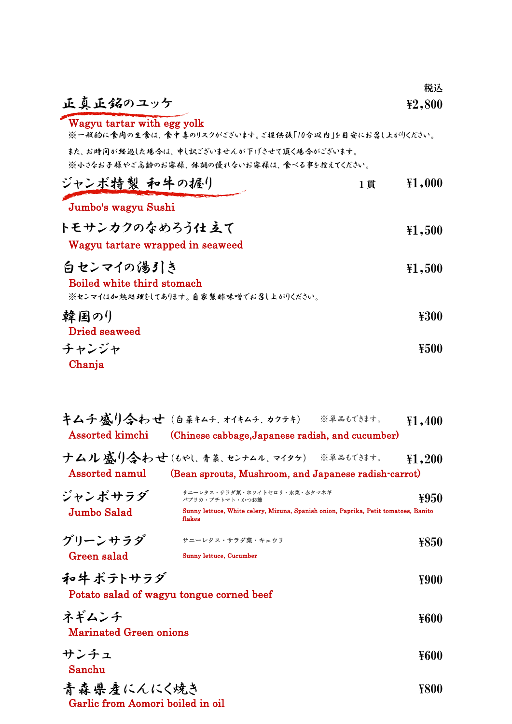|                                                                                        |    | 税込     |
|----------------------------------------------------------------------------------------|----|--------|
| 正真正銘のユッケ                                                                               |    | ¥2,800 |
| Wagyu tartar with egg yolk<br>※一般的に食肉の生食は、食中毒のリスクがございます。ご提供後「10分以内」を目安にお召し上がりください。     |    |        |
| また、お時间が经過した場合は、申し訳ございませんが下げさせて頂く場合がございます。<br>※小さなお子様やご高齢のお客様、体調の優れないお客様は、食べる事を控えてください。 |    |        |
| ジャンボ特製 和牛の握り                                                                           | 1貫 | ¥1,000 |
| Jumbo's wagyu Sushi                                                                    |    |        |
| トモサンカクのなめろう仕立て                                                                         |    | ¥1,500 |
| Wagyu tartare wrapped in seaweed                                                       |    |        |
| 白センマイの湯引き                                                                              |    | ¥1,500 |
| Boiled white third stomach                                                             |    |        |
| ※センマイはか越処理をしてあります。自家製酢味噌でお召し上がりください。                                                   |    |        |
| 韓国の()<br>Dried seaweed                                                                 |    | ¥300   |
| チャンジャ                                                                                  |    | ¥500   |
| Chanja                                                                                 |    |        |

| Assorted kimchi                                       | キムチ感り含わせ (白菜キムチ、オイキムチ、カクテキ) ※単品もできます。<br>(Chinese cabbage, Japanese radish, and cucumber)                                                        | $\textcolor{red}{\mathbf{\ddot{\textbf{Y}}1,400}}$ |
|-------------------------------------------------------|--------------------------------------------------------------------------------------------------------------------------------------------------|----------------------------------------------------|
| <b>Assorted namul</b>                                 | <b>ナムル感り合わせ</b> (もやし、青菜、センナムル、マイタケ) ※単品もできます。<br>(Bean sprouts, Mushroom, and Japanese radish-carrot)                                            | ¥1,200                                             |
| ジャンボサラダ<br><b>Jumbo Salad</b>                         | サニーレタス・サラダ菜・ホワイトセロリ・水菜・赤タマネギ<br>パプリカ・プチトマト・かつお節<br>Sunny lettuce, White celery, Mizuna, Spanish onion, Paprika, Petit tomatoes, Banito<br>flakes | ¥950                                               |
| グリーンサラダ<br>Green salad                                | サニーレタス・サラダ菜・キュウリ<br>Sunny lettuce, Cucumber                                                                                                      | ¥850                                               |
| 和牛 ポテトサラダ<br>Potato salad of wagyu tongue corned beef |                                                                                                                                                  | ¥900                                               |
| ネギムンチ<br><b>Marinated Green onions</b>                |                                                                                                                                                  | ¥600                                               |
| サンチュ<br>Sanchu                                        |                                                                                                                                                  | ¥600                                               |
| 青森県産にんにく焼き<br>Garlic from Aomori boiled in oil        |                                                                                                                                                  | ¥800                                               |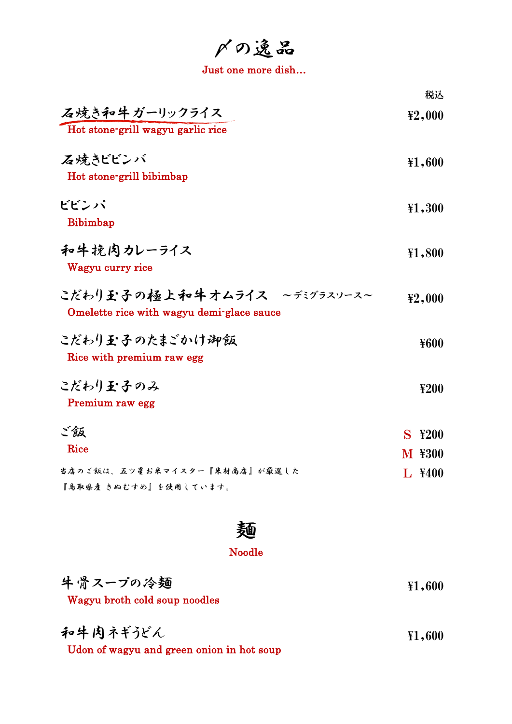〆の逸品

Just one more dish…

|                                                                         | 税込                                           |
|-------------------------------------------------------------------------|----------------------------------------------|
| 石焼き和牛ガーリックライス<br>Hot stone-grill wagyu garlic rice                      | ¥2,000                                       |
| 石焼きビビンバ<br>Hot stone-grill bibimbap                                     | ¥1,600                                       |
| ビビンパ<br>Bibimbap                                                        | $\textcolor{red}{\textbf{\texttt{Y1}}}, 300$ |
| 和牛挽肉カレーライス<br>Wagyu curry rice                                          | ¥1,800                                       |
| こだわり至子の極上和牛オムライス ~デジラスソース~<br>Omelette rice with wagyu demi-glace sauce | ¥2,000                                       |
| こだわりむ子のたまごかけ御飯<br>Rice with premium raw egg                             | ¥600                                         |
| こだわり至子のみ<br>Premium raw egg                                             | 4200                                         |
| ご飯                                                                      | S<br>¥200                                    |
| Rice                                                                    | <b>M ¥300</b>                                |
| 当店のご飯は、五ツ星お米マイスター『米村商店』が厳選した<br>『鳥取県産 きぬむすめ』を使用しています。                   | L ¥400                                       |



## Noodle

| 牛骨スープの冷麺<br>Wagyu broth cold soup noodles             | $\textcolor{red}{\textbf{\texttt{Y1.600}}}$ |
|-------------------------------------------------------|---------------------------------------------|
| 和牛肉ネギうどん<br>Udon of wagyu and green onion in hot soup | $\textcolor{red}{\textbf{\texttt{Y1.600}}}$ |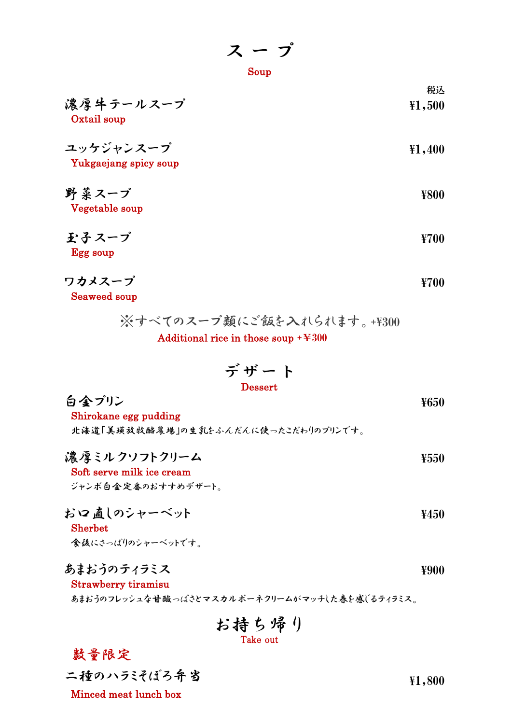ス ー プ

$$
\operatorname{\mathbf{Soup}}
$$

| 濃厚牛テールスープ<br>Oxtail soup           | 税込<br>$*1,500$ |
|------------------------------------|----------------|
| ユッケジャンスープ<br>Yukgaejang spicy soup | ${41,400}$     |
| 野菜スープ<br>Vegetable soup            | ¥800           |
| 玉子スーブ<br>Egg soup                  | ¥700           |

$$
\nabla \boldsymbol{\lambda} \boldsymbol{\lambda} - \boldsymbol{\tau}^2
$$

Seaweed soup

Additional rice in those soup  $+4300$ ※すべてのスープ類にご飯を入れられます。+\300

$$
\vec{\tau} \cdot \vec{t} - \vec{b}
$$

 $\hat{\mathbf{\Theta}}$  金 プリン  $\mathbf{\hat{y}}$ 

Shirokane egg pudding 北海道「美瑛放牧酪農場」の生乳をふんだんに使ったこだわりのプリンです。

濃厚ミルクソフトクリーム ¥550

Soft serve milk ice cream

ジャンボ白金定番のおすすめデザート。

お口直しのシャーベット Sherbet ¥450

食後にさっぱりのシャーベットです。

### あまおうのティラミス

Strawberry tiramisu

あまおうのフレッシュな甘酸っぱさとマスカルポーネクリームがマッチした春を感じるティラミス。

Take out お持ち帰り

数量限定

二種のハラミそぼろ弁当

Minced meat lunch box

¥1,800

¥900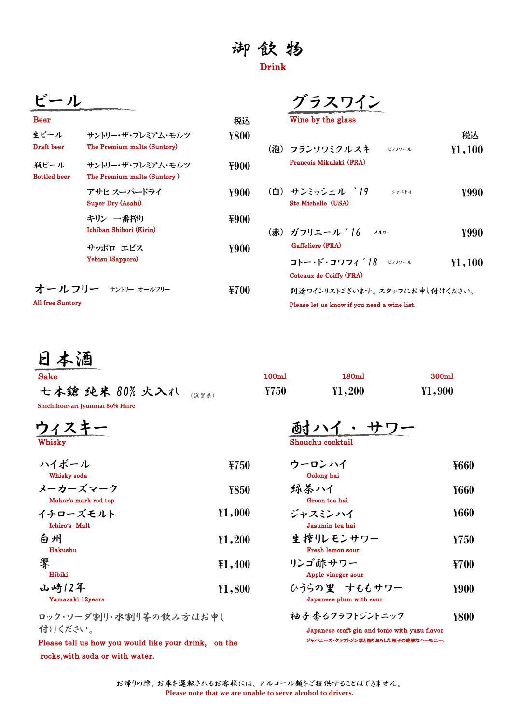## 御 飲 物 Drink

|                             |                                                  |      | グラスワイン                                                                                        |  |
|-----------------------------|--------------------------------------------------|------|-----------------------------------------------------------------------------------------------|--|
| <b>Beer</b>                 |                                                  | 税込   | Wine by the glass                                                                             |  |
| 生ビール<br>Draft beer          | サントリー・ザ・プレミアム・モルツ<br>The Premium malts (Suntory) | ¥800 | (泡) フランソワミクル スキ<br>ピノノワール                                                                     |  |
| 瓶ビール<br><b>Bottled</b> beer | サントリー・ザ・プレミアム・モルツ<br>The Premium malts (Suntory) | ¥900 | Francois Mikulski (FRA)                                                                       |  |
|                             | アサヒ スーパードライ<br>Super Dry (Asahi)                 | ¥900 | (白) サンミッシェル ´19<br>シャルドオ<br>Ste Michelle (USA)                                                |  |
|                             | キリン 一番搾り<br>Ichiban Shibori (Kirin)              | ¥900 | (赤) ガフリエール '16<br>メルロー                                                                        |  |
|                             | サッポロ エビス<br>Yebisu (Sapporo)                     | ¥900 | Gaffeliere (FRA)<br>コトー・ド・コワフィ '18<br>ビノノワール                                                  |  |
| All free Suntory            | オールフリー サントリー オールフリー                              | ¥700 | Coteaux de Coiffy (FRA)<br>羽.途ワインリストございます。 スタッフに<br>Please let us know if you need a wine lis |  |

| Wine by the glass |  |
|-------------------|--|
|                   |  |

| 紹ビール<br>Bottled beer | サントリー・ザ・プレミアム・モルツ<br>The Premium malts (Suntory) | ¥900 | Francois Mikulski (FRA)                                                          |
|----------------------|--------------------------------------------------|------|----------------------------------------------------------------------------------|
|                      | アサヒ スーパードライ<br>Super Dry (Asahi)                 | ¥900 | (白) サンミッシェル '19<br>¥990<br>シャルドネ<br>Ste Michelle (USA)                           |
|                      | キリン 一番搾り<br>Ichiban Shibori (Kirin)              | ¥900 | (赤) ガフリエール '16<br>¥990<br>メルロー                                                   |
|                      | サッポロ エビス<br>Yebisu (Sapporo)                     | ¥900 | Gaffeliere (FRA)<br>コトー・ド・コワフィ 18 ピソワール<br>${41,100}$<br>Coteaux de Coiffy (FRA) |
| All free Suntory     | オールフリー サントリー オールフリー                              | ¥700 | 列途ワインリストございます。 スタッフにお 申し付けください。<br>Please let us know if you need a wine list.   |

税込

¥1,100

日本酒

| <b>Sake</b>                              | 100ml | 180ml    | 300 <sub>ml</sub> |
|------------------------------------------|-------|----------|-------------------|
| 七本鎗 纯米 80% 火入れ<br>(谣貿県)                  | ¥750  | ¥1,200   | ${41,900}$        |
| Shichihonyari Jyunmai 80% Hiire<br>ウィスキー |       | 酎ハイ・ サワー |                   |
|                                          |       |          |                   |

| ソイヘナー  | 倒す ノ 丶 イ         |  |  |
|--------|------------------|--|--|
| Whisky | Shouchu cocktail |  |  |
| .      |                  |  |  |

| ハイボール                            | ¥750   | ウーロンハイ                     |
|----------------------------------|--------|----------------------------|
| Whisky soda                      |        | Oolong hai                 |
| メーカーズマーク<br>Maker's mark red top | ¥850   | 録茶ハイ<br>Green tea hai      |
| イチローズモルト<br>Ichiro's Malt        | ¥1,000 | ジャスミンハイ<br>Jasumin tea hai |
| 白州                               | 41,200 | 生搾りレモンサワー                  |

| Hakushu                   |            | <b>Fresh lemon sour</b>                 |
|---------------------------|------------|-----------------------------------------|
| 響<br>Hibiki               | ${41,400}$ | リンゴ酢サワー<br>Apple vineger sour           |
| 山崎12年<br>Yamazaki 12years | ¥1,800     | ひうらの里 すももサワー<br>Japanese plum with sour |

ロック・ソーダ割り・水割り等の飲み方はお申し 付けください。

Please tell us how you would like your drink, on the rocks,with soda or with water.

| ¥750 | ウーロンハイ     | ¥660 |
|------|------------|------|
|      | Oolong hai |      |

$$
$
$$
  $$$   $$$   $$$   $$$   $$$   $$$   $$$   $$$   $$$   $$$   $$$   $$$   $$$   $$$   $$$   $$$   $$$   $$$   $$$   $$$   $$$   $$$   $$$   $$$   $$$   $$$   $$$   $$$   $$$   $$$   $$$   $$$   $$$   $$$   $$$   $$$   $$$   $$$   $$$   $$$   $$$   $$$   $$$   $$$   $$$   $$$   $$$   $$$   $$$   $$$   $$$   $$$   $$$   $$$   $$$   $$$   $$$   $$$   $$$   $$$   $$$   $$$   $$$   $$$   $$$   $$$   $$$   $$$   $$$   $$$   $$$   $$$   $$$   $$$   $$$   $$$   $$$   $$$   $$$   $$$   $$$   $$$   $$$   $$$   $$$   $$$   $$$   $$$   $$$   $$$   $$$   $$$   $$$   $$$   $$$   $$$   $$$   $$$   $$$   $$$   $$$   $$$   $$$   $$$   $$$   $$$   $$$   $$$   $$$   $$$   $$$   $$$   $$$   $$$   $$$   $$$   $$$   $$$   $$$   $$$   $$$   $$$   $$$   $$$   $$$   $$$  <

$$
\ddot{\mathcal{L}} + \mathcal{L} \ddot{\mathcal{L}} - \mathcal{L}
$$
\nJasumin tea hai

$$
\n \underbrace{\n \mathit{f}_{\text{Fresh lemon sour}}\n } \n \quad \text{F750}
$$

**リン**ゴ(本)
$$
\begin{array}{c}\n\text{NDP} \\
\text{Apple vineger sour}\n\end{array}
$$

¥900

柚子香るクラフトジントニック ¥800

Japanese craft gin and tonic with yuzu flavor ジャパニーズ・クラフトジン翠と擦りおろした柚子の絶妙なハーモニー。